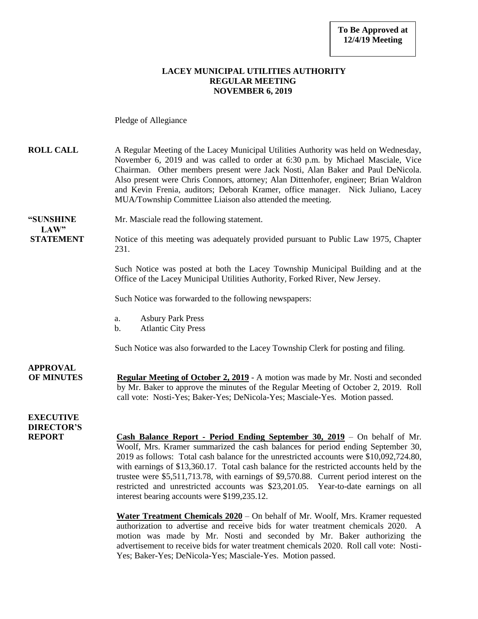#### **LACEY MUNICIPAL UTILITIES AUTHORITY REGULAR MEETING NOVEMBER 6, 2019**

Pledge of Allegiance

**ROLL CALL** A Regular Meeting of the Lacey Municipal Utilities Authority was held on Wednesday, November 6, 2019 and was called to order at 6:30 p.m. by Michael Masciale, Vice Chairman. Other members present were Jack Nosti, Alan Baker and Paul DeNicola. Also present were Chris Connors, attorney; Alan Dittenhofer, engineer; Brian Waldron and Kevin Frenia, auditors; Deborah Kramer, office manager. Nick Juliano, Lacey MUA/Township Committee Liaison also attended the meeting.

**"SUNSHINE** Mr. Masciale read the following statement.  $LAW"$ 

**STATEMENT** Notice of this meeting was adequately provided pursuant to Public Law 1975, Chapter 231.

> Such Notice was posted at both the Lacey Township Municipal Building and at the Office of the Lacey Municipal Utilities Authority, Forked River, New Jersey.

Such Notice was forwarded to the following newspapers:

- a. Asbury Park Press
- b. Atlantic City Press

Such Notice was also forwarded to the Lacey Township Clerk for posting and filing.

**APPROVAL OF MINUTES Regular Meeting of October 2, 2019** - A motion was made by Mr. Nosti and seconded by Mr. Baker to approve the minutes of the Regular Meeting of October 2, 2019. Roll call vote: Nosti-Yes; Baker-Yes; DeNicola-Yes; Masciale-Yes. Motion passed.

**EXECUTIVE DIRECTOR'S**

**REPORT Cash Balance Report - Period Ending September 30, 2019** – On behalf of Mr. Woolf, Mrs. Kramer summarized the cash balances for period ending September 30, 2019 as follows: Total cash balance for the unrestricted accounts were \$10,092,724.80, with earnings of \$13,360.17. Total cash balance for the restricted accounts held by the trustee were \$5,511,713.78, with earnings of \$9,570.88. Current period interest on the restricted and unrestricted accounts was \$23,201.05. Year-to-date earnings on all interest bearing accounts were \$199,235.12.

> **Water Treatment Chemicals 2020** – On behalf of Mr. Woolf, Mrs. Kramer requested authorization to advertise and receive bids for water treatment chemicals 2020. A motion was made by Mr. Nosti and seconded by Mr. Baker authorizing the advertisement to receive bids for water treatment chemicals 2020. Roll call vote: Nosti-Yes; Baker-Yes; DeNicola-Yes; Masciale-Yes. Motion passed.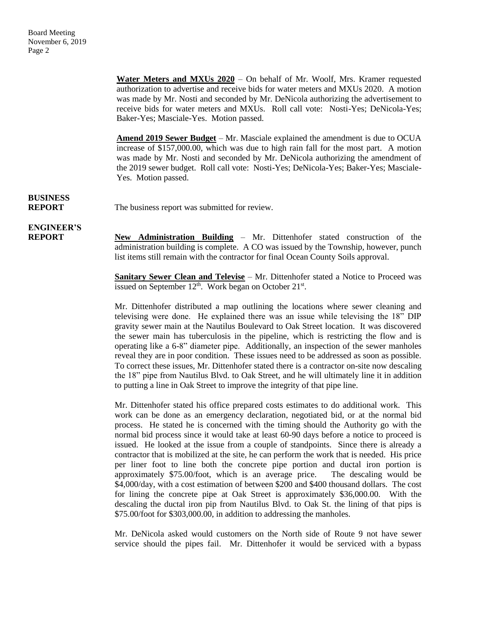**Water Meters and MXUs 2020** – On behalf of Mr. Woolf, Mrs. Kramer requested authorization to advertise and receive bids for water meters and MXUs 2020. A motion was made by Mr. Nosti and seconded by Mr. DeNicola authorizing the advertisement to receive bids for water meters and MXUs. Roll call vote: Nosti-Yes; DeNicola-Yes; Baker-Yes; Masciale-Yes. Motion passed.

**Amend 2019 Sewer Budget** – Mr. Masciale explained the amendment is due to OCUA increase of \$157,000.00, which was due to high rain fall for the most part. A motion was made by Mr. Nosti and seconded by Mr. DeNicola authorizing the amendment of the 2019 sewer budget. Roll call vote: Nosti-Yes; DeNicola-Yes; Baker-Yes; Masciale-Yes. Motion passed.

# **BUSINESS**

**REPORT** The business report was submitted for review.

### **ENGINEER'S**

**REPORT New Administration Building** – Mr. Dittenhofer stated construction of the administration building is complete. A CO was issued by the Township, however, punch list items still remain with the contractor for final Ocean County Soils approval.

> **Sanitary Sewer Clean and Televise** – Mr. Dittenhofer stated a Notice to Proceed was issued on September  $12<sup>th</sup>$ . Work began on October  $21<sup>st</sup>$ .

> Mr. Dittenhofer distributed a map outlining the locations where sewer cleaning and televising were done. He explained there was an issue while televising the 18" DIP gravity sewer main at the Nautilus Boulevard to Oak Street location. It was discovered the sewer main has tuberculosis in the pipeline, which is restricting the flow and is operating like a 6-8" diameter pipe. Additionally, an inspection of the sewer manholes reveal they are in poor condition. These issues need to be addressed as soon as possible. To correct these issues, Mr. Dittenhofer stated there is a contractor on-site now descaling the 18" pipe from Nautilus Blvd. to Oak Street, and he will ultimately line it in addition to putting a line in Oak Street to improve the integrity of that pipe line.

> Mr. Dittenhofer stated his office prepared costs estimates to do additional work. This work can be done as an emergency declaration, negotiated bid, or at the normal bid process. He stated he is concerned with the timing should the Authority go with the normal bid process since it would take at least 60-90 days before a notice to proceed is issued. He looked at the issue from a couple of standpoints. Since there is already a contractor that is mobilized at the site, he can perform the work that is needed. His price per liner foot to line both the concrete pipe portion and ductal iron portion is approximately \$75.00/foot, which is an average price. The descaling would be \$4,000/day, with a cost estimation of between \$200 and \$400 thousand dollars. The cost for lining the concrete pipe at Oak Street is approximately \$36,000.00. With the descaling the ductal iron pip from Nautilus Blvd. to Oak St. the lining of that pips is \$75.00/foot for \$303,000.00, in addition to addressing the manholes.

> Mr. DeNicola asked would customers on the North side of Route 9 not have sewer service should the pipes fail. Mr. Dittenhofer it would be serviced with a bypass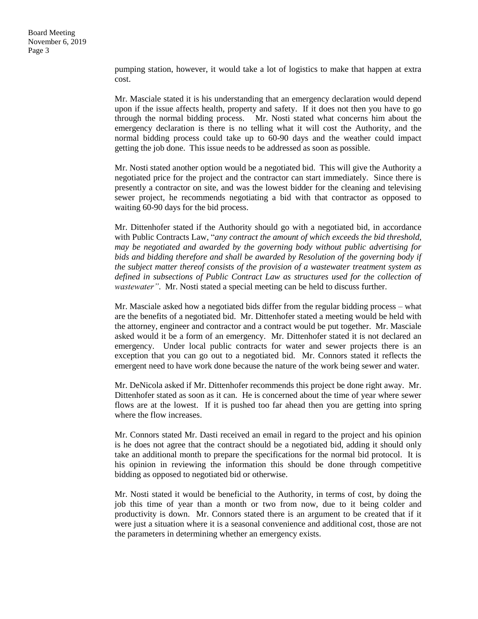pumping station, however, it would take a lot of logistics to make that happen at extra cost.

Mr. Masciale stated it is his understanding that an emergency declaration would depend upon if the issue affects health, property and safety. If it does not then you have to go through the normal bidding process. Mr. Nosti stated what concerns him about the emergency declaration is there is no telling what it will cost the Authority, and the normal bidding process could take up to 60-90 days and the weather could impact getting the job done. This issue needs to be addressed as soon as possible.

Mr. Nosti stated another option would be a negotiated bid. This will give the Authority a negotiated price for the project and the contractor can start immediately. Since there is presently a contractor on site, and was the lowest bidder for the cleaning and televising sewer project, he recommends negotiating a bid with that contractor as opposed to waiting 60-90 days for the bid process.

Mr. Dittenhofer stated if the Authority should go with a negotiated bid, in accordance with Public Contracts Law, "*any contract the amount of which exceeds the bid threshold, may be negotiated and awarded by the governing body without public advertising for*  bids and bidding therefore and shall be awarded by Resolution of the governing body if *the subject matter thereof consists of the provision of a wastewater treatment system as*  defined in subsections of Public Contract Law as structures used for the collection of *wastewater"*. Mr. Nosti stated a special meeting can be held to discuss further.

Mr. Masciale asked how a negotiated bids differ from the regular bidding process – what are the benefits of a negotiated bid. Mr. Dittenhofer stated a meeting would be held with the attorney, engineer and contractor and a contract would be put together. Mr. Masciale asked would it be a form of an emergency. Mr. Dittenhofer stated it is not declared an emergency. Under local public contracts for water and sewer projects there is an exception that you can go out to a negotiated bid. Mr. Connors stated it reflects the emergent need to have work done because the nature of the work being sewer and water.

Mr. DeNicola asked if Mr. Dittenhofer recommends this project be done right away. Mr. Dittenhofer stated as soon as it can. He is concerned about the time of year where sewer flows are at the lowest. If it is pushed too far ahead then you are getting into spring where the flow increases.

Mr. Connors stated Mr. Dasti received an email in regard to the project and his opinion is he does not agree that the contract should be a negotiated bid, adding it should only take an additional month to prepare the specifications for the normal bid protocol. It is his opinion in reviewing the information this should be done through competitive bidding as opposed to negotiated bid or otherwise.

Mr. Nosti stated it would be beneficial to the Authority, in terms of cost, by doing the job this time of year than a month or two from now, due to it being colder and productivity is down. Mr. Connors stated there is an argument to be created that if it were just a situation where it is a seasonal convenience and additional cost, those are not the parameters in determining whether an emergency exists.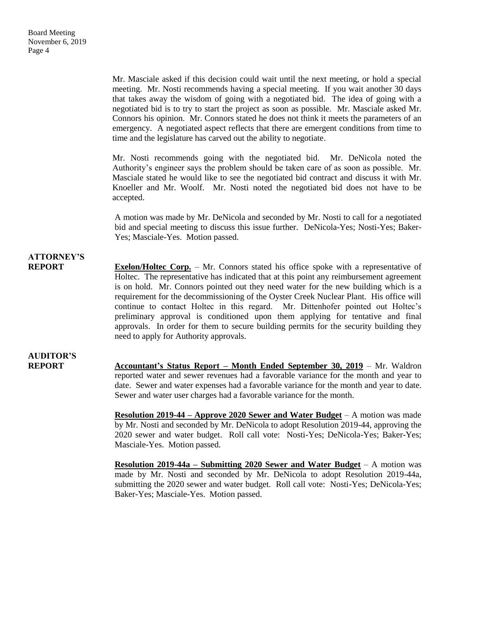Mr. Masciale asked if this decision could wait until the next meeting, or hold a special meeting. Mr. Nosti recommends having a special meeting. If you wait another 30 days that takes away the wisdom of going with a negotiated bid. The idea of going with a negotiated bid is to try to start the project as soon as possible. Mr. Masciale asked Mr. Connors his opinion. Mr. Connors stated he does not think it meets the parameters of an emergency. A negotiated aspect reflects that there are emergent conditions from time to time and the legislature has carved out the ability to negotiate.

Mr. Nosti recommends going with the negotiated bid. Mr. DeNicola noted the Authority's engineer says the problem should be taken care of as soon as possible. Mr. Masciale stated he would like to see the negotiated bid contract and discuss it with Mr. Knoeller and Mr. Woolf. Mr. Nosti noted the negotiated bid does not have to be accepted.

A motion was made by Mr. DeNicola and seconded by Mr. Nosti to call for a negotiated bid and special meeting to discuss this issue further. DeNicola-Yes; Nosti-Yes; Baker-Yes; Masciale-Yes. Motion passed.

### **ATTORNEY'S**

**REPORT Exelon/Holtec Corp.** – Mr. Connors stated his office spoke with a representative of Holtec. The representative has indicated that at this point any reimbursement agreement is on hold. Mr. Connors pointed out they need water for the new building which is a requirement for the decommissioning of the Oyster Creek Nuclear Plant. His office will continue to contact Holtec in this regard. Mr. Dittenhofer pointed out Holtec's preliminary approval is conditioned upon them applying for tentative and final approvals. In order for them to secure building permits for the security building they need to apply for Authority approvals.

## **AUDITOR'S**

**REPORT Accountant's Status Report – Month Ended September 30, 2019** – Mr. Waldron reported water and sewer revenues had a favorable variance for the month and year to date. Sewer and water expenses had a favorable variance for the month and year to date. Sewer and water user charges had a favorable variance for the month.

> **Resolution 2019-44 – Approve 2020 Sewer and Water Budget** – A motion was made by Mr. Nosti and seconded by Mr. DeNicola to adopt Resolution 2019-44, approving the 2020 sewer and water budget. Roll call vote: Nosti-Yes; DeNicola-Yes; Baker-Yes; Masciale-Yes. Motion passed.

> **Resolution 2019-44a – Submitting 2020 Sewer and Water Budget** – A motion was made by Mr. Nosti and seconded by Mr. DeNicola to adopt Resolution 2019-44a, submitting the 2020 sewer and water budget. Roll call vote: Nosti-Yes; DeNicola-Yes; Baker-Yes; Masciale-Yes. Motion passed.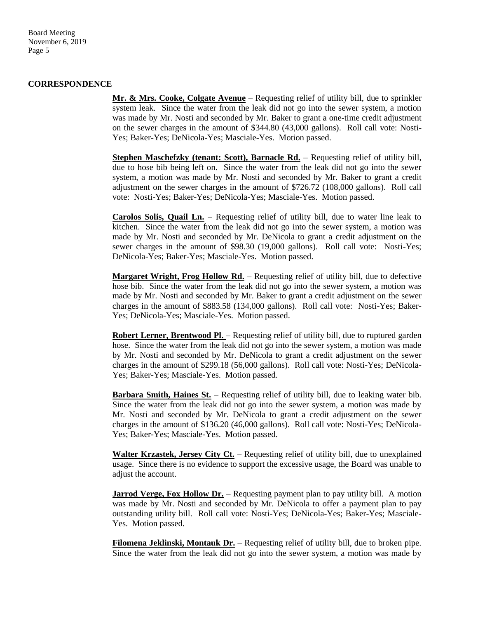Board Meeting November 6, 2019 Page 5

#### **CORRESPONDENCE**

**Mr. & Mrs. Cooke, Colgate Avenue** – Requesting relief of utility bill, due to sprinkler system leak. Since the water from the leak did not go into the sewer system, a motion was made by Mr. Nosti and seconded by Mr. Baker to grant a one-time credit adjustment on the sewer charges in the amount of \$344.80 (43,000 gallons). Roll call vote: Nosti-Yes; Baker-Yes; DeNicola-Yes; Masciale-Yes. Motion passed.

**Stephen Maschefzky (tenant: Scott), Barnacle Rd.** – Requesting relief of utility bill, due to hose bib being left on. Since the water from the leak did not go into the sewer system, a motion was made by Mr. Nosti and seconded by Mr. Baker to grant a credit adjustment on the sewer charges in the amount of \$726.72 (108,000 gallons). Roll call vote: Nosti-Yes; Baker-Yes; DeNicola-Yes; Masciale-Yes. Motion passed.

**Carolos Solis, Quail Ln.** – Requesting relief of utility bill, due to water line leak to kitchen. Since the water from the leak did not go into the sewer system, a motion was made by Mr. Nosti and seconded by Mr. DeNicola to grant a credit adjustment on the sewer charges in the amount of \$98.30 (19,000 gallons). Roll call vote: Nosti-Yes; DeNicola-Yes; Baker-Yes; Masciale-Yes. Motion passed.

**Margaret Wright, Frog Hollow Rd.** – Requesting relief of utility bill, due to defective hose bib. Since the water from the leak did not go into the sewer system, a motion was made by Mr. Nosti and seconded by Mr. Baker to grant a credit adjustment on the sewer charges in the amount of \$883.58 (134,000 gallons). Roll call vote: Nosti-Yes; Baker-Yes; DeNicola-Yes; Masciale-Yes. Motion passed.

**Robert Lerner, Brentwood Pl.** – Requesting relief of utility bill, due to ruptured garden hose. Since the water from the leak did not go into the sewer system, a motion was made by Mr. Nosti and seconded by Mr. DeNicola to grant a credit adjustment on the sewer charges in the amount of \$299.18 (56,000 gallons). Roll call vote: Nosti-Yes; DeNicola-Yes; Baker-Yes; Masciale-Yes. Motion passed.

**Barbara Smith, Haines St.** – Requesting relief of utility bill, due to leaking water bib. Since the water from the leak did not go into the sewer system, a motion was made by Mr. Nosti and seconded by Mr. DeNicola to grant a credit adjustment on the sewer charges in the amount of \$136.20 (46,000 gallons). Roll call vote: Nosti-Yes; DeNicola-Yes; Baker-Yes; Masciale-Yes. Motion passed.

**Walter Krzastek, Jersey City Ct.** – Requesting relief of utility bill, due to unexplained usage. Since there is no evidence to support the excessive usage, the Board was unable to adjust the account.

**Jarrod Verge, Fox Hollow Dr.** – Requesting payment plan to pay utility bill. A motion was made by Mr. Nosti and seconded by Mr. DeNicola to offer a payment plan to pay outstanding utility bill. Roll call vote: Nosti-Yes; DeNicola-Yes; Baker-Yes; Masciale-Yes. Motion passed.

**Filomena Jeklinski, Montauk Dr.** – Requesting relief of utility bill, due to broken pipe. Since the water from the leak did not go into the sewer system, a motion was made by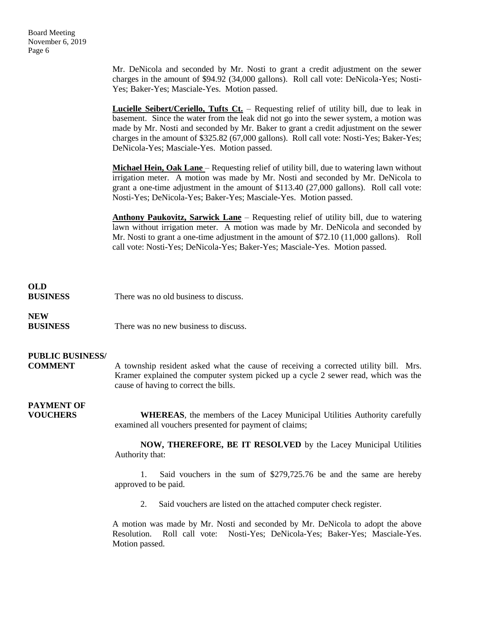Mr. DeNicola and seconded by Mr. Nosti to grant a credit adjustment on the sewer charges in the amount of \$94.92 (34,000 gallons). Roll call vote: DeNicola-Yes; Nosti-Yes; Baker-Yes; Masciale-Yes. Motion passed.

**Lucielle Seibert/Ceriello, Tufts Ct.** – Requesting relief of utility bill, due to leak in basement. Since the water from the leak did not go into the sewer system, a motion was made by Mr. Nosti and seconded by Mr. Baker to grant a credit adjustment on the sewer charges in the amount of \$325.82 (67,000 gallons). Roll call vote: Nosti-Yes; Baker-Yes; DeNicola-Yes; Masciale-Yes. Motion passed.

**Michael Hein, Oak Lane** – Requesting relief of utility bill, due to watering lawn without irrigation meter. A motion was made by Mr. Nosti and seconded by Mr. DeNicola to grant a one-time adjustment in the amount of \$113.40 (27,000 gallons). Roll call vote: Nosti-Yes; DeNicola-Yes; Baker-Yes; Masciale-Yes. Motion passed.

**Anthony Paukovitz, Sarwick Lane** – Requesting relief of utility bill, due to watering lawn without irrigation meter. A motion was made by Mr. DeNicola and seconded by Mr. Nosti to grant a one-time adjustment in the amount of \$72.10 (11,000 gallons). Roll call vote: Nosti-Yes; DeNicola-Yes; Baker-Yes; Masciale-Yes. Motion passed.

### **OLD**

**BUSINESS** There was no old business to discuss.

### **NEW**

**BUSINESS** There was no new business to discuss.

### **PUBLIC BUSINESS/**

**COMMENT** A township resident asked what the cause of receiving a corrected utility bill. Mrs. Kramer explained the computer system picked up a cycle 2 sewer read, which was the cause of having to correct the bills.

### **PAYMENT OF**

**VOUCHERS WHEREAS**, the members of the Lacey Municipal Utilities Authority carefully examined all vouchers presented for payment of claims;

> **NOW, THEREFORE, BE IT RESOLVED** by the Lacey Municipal Utilities Authority that:

> 1. Said vouchers in the sum of \$279,725.76 be and the same are hereby approved to be paid.

2. Said vouchers are listed on the attached computer check register.

A motion was made by Mr. Nosti and seconded by Mr. DeNicola to adopt the above Resolution. Roll call vote: Nosti-Yes; DeNicola-Yes; Baker-Yes; Masciale-Yes. Motion passed.